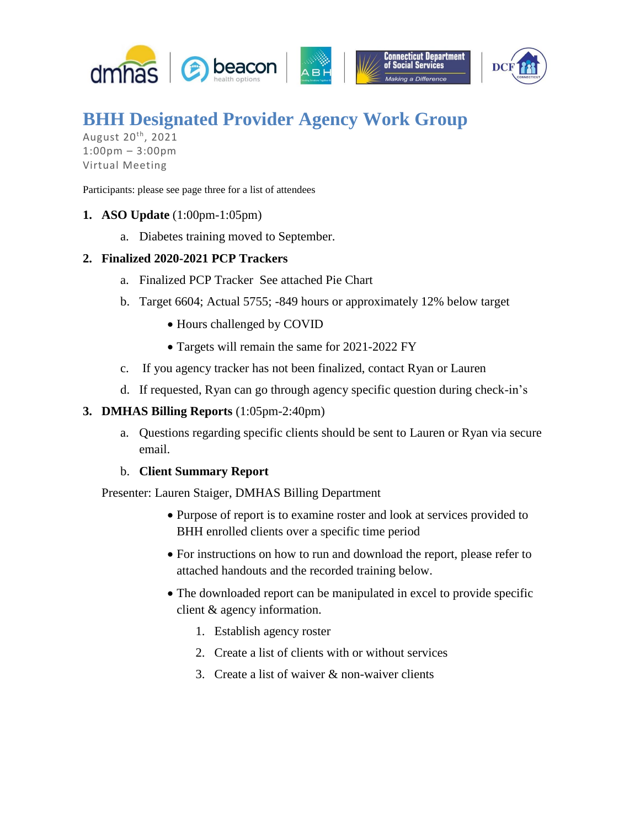

# **BHH Designated Provider Agency Work Group**

August 20<sup>th</sup>, 2021 1:00pm – 3:00pm Virtual Meeting

Participants: please see page three for a list of attendees

- **1. ASO Update** (1:00pm-1:05pm)
	- a. Diabetes training moved to September.

## **2. Finalized 2020-2021 PCP Trackers**

- a. Finalized PCP Tracker See attached Pie Chart
- b. Target 6604; Actual 5755; -849 hours or approximately 12% below target
	- Hours challenged by COVID
	- Targets will remain the same for 2021-2022 FY
- c. If you agency tracker has not been finalized, contact Ryan or Lauren
- d. If requested, Ryan can go through agency specific question during check-in's

### **3. DMHAS Billing Reports** (1:05pm-2:40pm)

a. Questions regarding specific clients should be sent to Lauren or Ryan via secure email.

#### b. **Client Summary Report**

Presenter: Lauren Staiger, DMHAS Billing Department

- Purpose of report is to examine roster and look at services provided to BHH enrolled clients over a specific time period
- For instructions on how to run and download the report, please refer to attached handouts and the recorded training below.
- The downloaded report can be manipulated in excel to provide specific client & agency information.
	- 1. Establish agency roster
	- 2. Create a list of clients with or without services
	- 3. Create a list of waiver & non-waiver clients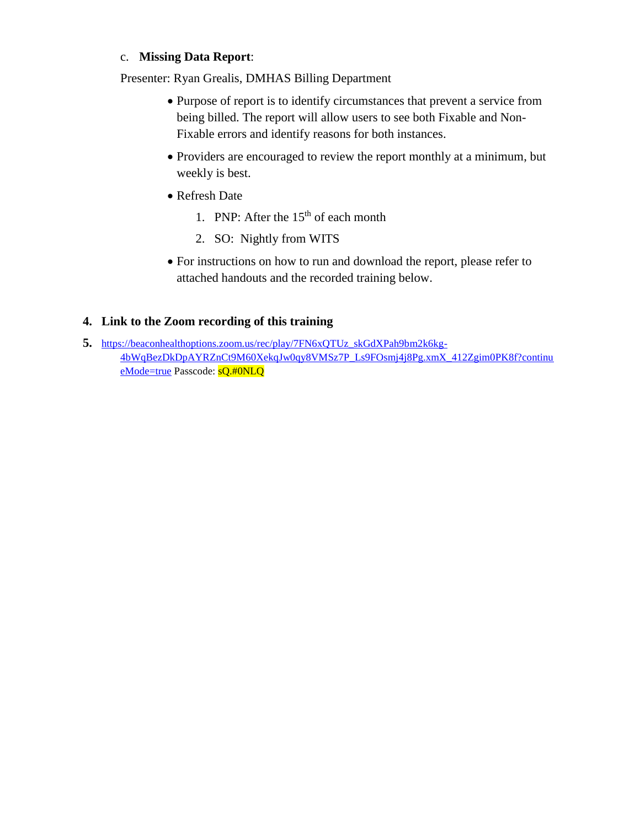## c. **Missing Data Report**:

Presenter: Ryan Grealis, DMHAS Billing Department

- Purpose of report is to identify circumstances that prevent a service from being billed. The report will allow users to see both Fixable and Non-Fixable errors and identify reasons for both instances.
- Providers are encouraged to review the report monthly at a minimum, but weekly is best.
- Refresh Date
	- 1. PNP: After the  $15<sup>th</sup>$  of each month
	- 2. SO: Nightly from WITS
- For instructions on how to run and download the report, please refer to attached handouts and the recorded training below.

# **4. Link to the Zoom recording of this training**

**5.** [https://beaconhealthoptions.zoom.us/rec/play/7FN6xQTUz\\_skGdXPah9bm2k6kg-](https://beaconhealthoptions.zoom.us/rec/play/7FN6xQTUz_skGdXPah9bm2k6kg-4bWqBezDkDpAYRZnCt9M60XekqJw0qy8VMSz7P_Ls9FOsmj4j8Pg.xmX_412Zgim0PK8f?continueMode=true)[4bWqBezDkDpAYRZnCt9M60XekqJw0qy8VMSz7P\\_Ls9FOsmj4j8Pg.xmX\\_412Zgim0PK8f?continu](https://beaconhealthoptions.zoom.us/rec/play/7FN6xQTUz_skGdXPah9bm2k6kg-4bWqBezDkDpAYRZnCt9M60XekqJw0qy8VMSz7P_Ls9FOsmj4j8Pg.xmX_412Zgim0PK8f?continueMode=true) [eMode=true](https://beaconhealthoptions.zoom.us/rec/play/7FN6xQTUz_skGdXPah9bm2k6kg-4bWqBezDkDpAYRZnCt9M60XekqJw0qy8VMSz7P_Ls9FOsmj4j8Pg.xmX_412Zgim0PK8f?continueMode=true) Passcode: sQ.#0NLQ